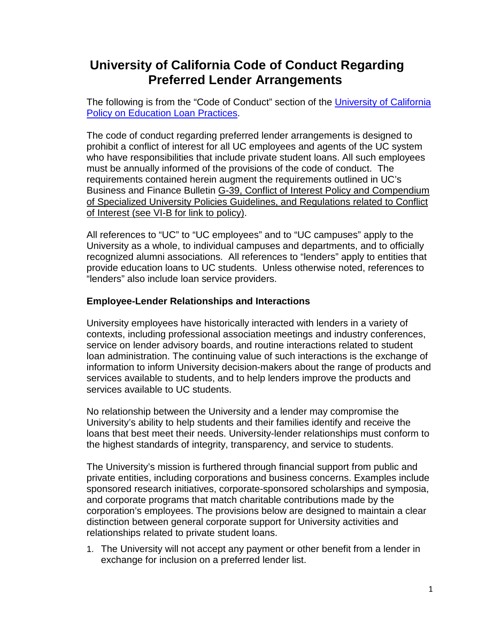## **University of California Code of Conduct Regarding Preferred Lender Arrangements**

The following is from the "Code of Conduct" section of the University of California [Policy on Education Loan Practices.](http://policy.ucop.edu/doc/2700514/EducationLoanPractices)

The code of conduct regarding preferred lender arrangements is designed to prohibit a conflict of interest for all UC employees and agents of the UC system who have responsibilities that include private student loans. All such employees must be annually informed of the provisions of the code of conduct. The requirements contained herein augment the requirements outlined in UC's Business and Finance Bulletin G-39, Conflict of Interest Policy and Compendium of Specialized University Policies Guidelines, and Regulations related to Conflict of Interest (see VI-B for link to policy).

All references to "UC" to "UC employees" and to "UC campuses" apply to the University as a whole, to individual campuses and departments, and to officially recognized alumni associations. All references to "lenders" apply to entities that provide education loans to UC students. Unless otherwise noted, references to "lenders" also include loan service providers.

## **Employee-Lender Relationships and Interactions**

University employees have historically interacted with lenders in a variety of contexts, including professional association meetings and industry conferences, service on lender advisory boards, and routine interactions related to student loan administration. The continuing value of such interactions is the exchange of information to inform University decision-makers about the range of products and services available to students, and to help lenders improve the products and services available to UC students.

No relationship between the University and a lender may compromise the University's ability to help students and their families identify and receive the loans that best meet their needs. University-lender relationships must conform to the highest standards of integrity, transparency, and service to students.

The University's mission is furthered through financial support from public and private entities, including corporations and business concerns. Examples include sponsored research initiatives, corporate-sponsored scholarships and symposia, and corporate programs that match charitable contributions made by the corporation's employees. The provisions below are designed to maintain a clear distinction between general corporate support for University activities and relationships related to private student loans.

1. The University will not accept any payment or other benefit from a lender in exchange for inclusion on a preferred lender list.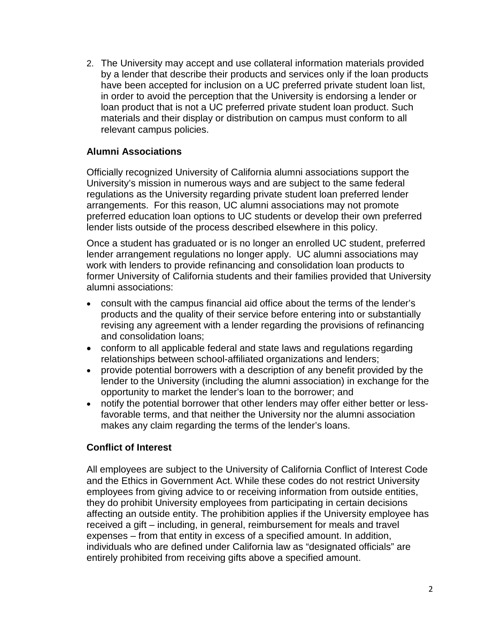2. The University may accept and use collateral information materials provided by a lender that describe their products and services only if the loan products have been accepted for inclusion on a UC preferred private student loan list, in order to avoid the perception that the University is endorsing a lender or loan product that is not a UC preferred private student loan product. Such materials and their display or distribution on campus must conform to all relevant campus policies.

## **Alumni Associations**

Officially recognized University of California alumni associations support the University's mission in numerous ways and are subject to the same federal regulations as the University regarding private student loan preferred lender arrangements. For this reason, UC alumni associations may not promote preferred education loan options to UC students or develop their own preferred lender lists outside of the process described elsewhere in this policy.

Once a student has graduated or is no longer an enrolled UC student, preferred lender arrangement regulations no longer apply. UC alumni associations may work with lenders to provide refinancing and consolidation loan products to former University of California students and their families provided that University alumni associations:

- consult with the campus financial aid office about the terms of the lender's products and the quality of their service before entering into or substantially revising any agreement with a lender regarding the provisions of refinancing and consolidation loans;
- conform to all applicable federal and state laws and regulations regarding relationships between school-affiliated organizations and lenders;
- provide potential borrowers with a description of any benefit provided by the lender to the University (including the alumni association) in exchange for the opportunity to market the lender's loan to the borrower; and
- notify the potential borrower that other lenders may offer either better or lessfavorable terms, and that neither the University nor the alumni association makes any claim regarding the terms of the lender's loans.

## **Conflict of Interest**

All employees are subject to the University of California Conflict of Interest Code and the Ethics in Government Act. While these codes do not restrict University employees from giving advice to or receiving information from outside entities, they do prohibit University employees from participating in certain decisions affecting an outside entity. The prohibition applies if the University employee has received a gift – including, in general, reimbursement for meals and travel expenses – from that entity in excess of a specified amount. In addition, individuals who are defined under California law as "designated officials" are entirely prohibited from receiving gifts above a specified amount.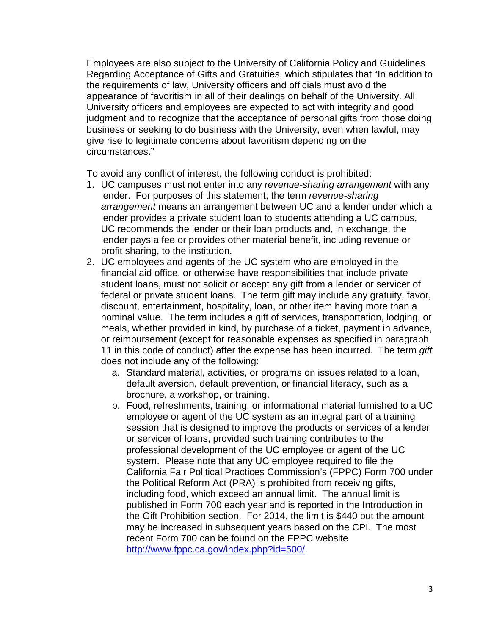Employees are also subject to the University of California Policy and Guidelines Regarding Acceptance of Gifts and Gratuities, which stipulates that "In addition to the requirements of law, University officers and officials must avoid the appearance of favoritism in all of their dealings on behalf of the University. All University officers and employees are expected to act with integrity and good judgment and to recognize that the acceptance of personal gifts from those doing business or seeking to do business with the University, even when lawful, may give rise to legitimate concerns about favoritism depending on the circumstances."

To avoid any conflict of interest, the following conduct is prohibited:

- 1. UC campuses must not enter into any *revenue-sharing arrangement* with any lender. For purposes of this statement, the term *revenue-sharing arrangement* means an arrangement between UC and a lender under which a lender provides a private student loan to students attending a UC campus, UC recommends the lender or their loan products and, in exchange, the lender pays a fee or provides other material benefit, including revenue or profit sharing, to the institution.
- 2. UC employees and agents of the UC system who are employed in the financial aid office, or otherwise have responsibilities that include private student loans, must not solicit or accept any gift from a lender or servicer of federal or private student loans. The term gift may include any gratuity, favor, discount, entertainment, hospitality, loan, or other item having more than a nominal value. The term includes a gift of services, transportation, lodging, or meals, whether provided in kind, by purchase of a ticket, payment in advance, or reimbursement (except for reasonable expenses as specified in paragraph 11 in this code of conduct) after the expense has been incurred. The term *gift* does not include any of the following:
	- a. Standard material, activities, or programs on issues related to a loan, default aversion, default prevention, or financial literacy, such as a brochure, a workshop, or training.
	- b. Food, refreshments, training, or informational material furnished to a UC employee or agent of the UC system as an integral part of a training session that is designed to improve the products or services of a lender or servicer of loans, provided such training contributes to the professional development of the UC employee or agent of the UC system. Please note that any UC employee required to file the California Fair Political Practices Commission's (FPPC) Form 700 under the Political Reform Act (PRA) is prohibited from receiving gifts, including food, which exceed an annual limit. The annual limit is published in Form 700 each year and is reported in the Introduction in the Gift Prohibition section. For 2014, the limit is \$440 but the amount may be increased in subsequent years based on the CPI. The most recent Form 700 can be found on the FPPC website [http://www.fppc.ca.gov/index.php?id=500/.](http://www.fppc.ca.gov/index.php?id=500/)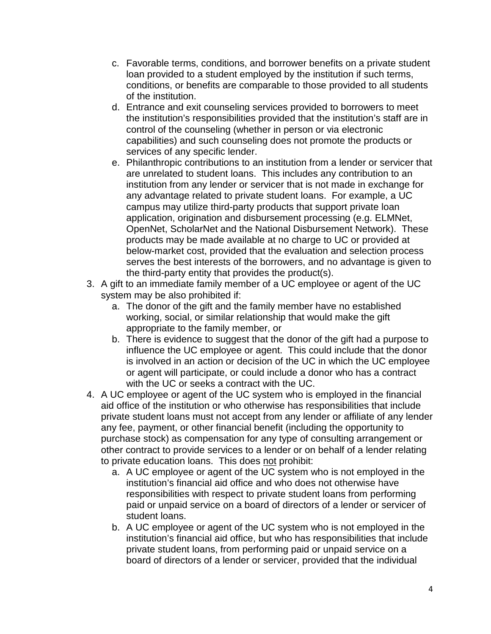- c. Favorable terms, conditions, and borrower benefits on a private student loan provided to a student employed by the institution if such terms, conditions, or benefits are comparable to those provided to all students of the institution.
- d. Entrance and exit counseling services provided to borrowers to meet the institution's responsibilities provided that the institution's staff are in control of the counseling (whether in person or via electronic capabilities) and such counseling does not promote the products or services of any specific lender.
- e. Philanthropic contributions to an institution from a lender or servicer that are unrelated to student loans. This includes any contribution to an institution from any lender or servicer that is not made in exchange for any advantage related to private student loans. For example, a UC campus may utilize third-party products that support private loan application, origination and disbursement processing (e.g. ELMNet, OpenNet, ScholarNet and the National Disbursement Network). These products may be made available at no charge to UC or provided at below-market cost, provided that the evaluation and selection process serves the best interests of the borrowers, and no advantage is given to the third-party entity that provides the product(s).
- 3. A gift to an immediate family member of a UC employee or agent of the UC system may be also prohibited if:
	- a. The donor of the gift and the family member have no established working, social, or similar relationship that would make the gift appropriate to the family member, or
	- b. There is evidence to suggest that the donor of the gift had a purpose to influence the UC employee or agent. This could include that the donor is involved in an action or decision of the UC in which the UC employee or agent will participate, or could include a donor who has a contract with the UC or seeks a contract with the UC.
- 4. A UC employee or agent of the UC system who is employed in the financial aid office of the institution or who otherwise has responsibilities that include private student loans must not accept from any lender or affiliate of any lender any fee, payment, or other financial benefit (including the opportunity to purchase stock) as compensation for any type of consulting arrangement or other contract to provide services to a lender or on behalf of a lender relating to private education loans. This does not prohibit:
	- a. A UC employee or agent of the UC system who is not employed in the institution's financial aid office and who does not otherwise have responsibilities with respect to private student loans from performing paid or unpaid service on a board of directors of a lender or servicer of student loans.
	- b. A UC employee or agent of the UC system who is not employed in the institution's financial aid office, but who has responsibilities that include private student loans, from performing paid or unpaid service on a board of directors of a lender or servicer, provided that the individual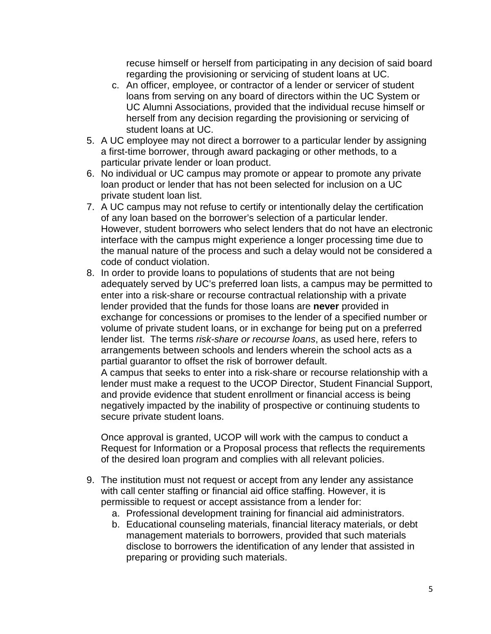recuse himself or herself from participating in any decision of said board regarding the provisioning or servicing of student loans at UC.

- c. An officer, employee, or contractor of a lender or servicer of student loans from serving on any board of directors within the UC System or UC Alumni Associations, provided that the individual recuse himself or herself from any decision regarding the provisioning or servicing of student loans at UC.
- 5. A UC employee may not direct a borrower to a particular lender by assigning a first-time borrower, through award packaging or other methods, to a particular private lender or loan product.
- 6. No individual or UC campus may promote or appear to promote any private loan product or lender that has not been selected for inclusion on a UC private student loan list.
- 7. A UC campus may not refuse to certify or intentionally delay the certification of any loan based on the borrower's selection of a particular lender. However, student borrowers who select lenders that do not have an electronic interface with the campus might experience a longer processing time due to the manual nature of the process and such a delay would not be considered a code of conduct violation.
- 8. In order to provide loans to populations of students that are not being adequately served by UC's preferred loan lists, a campus may be permitted to enter into a risk-share or recourse contractual relationship with a private lender provided that the funds for those loans are **never** provided in exchange for concessions or promises to the lender of a specified number or volume of private student loans, or in exchange for being put on a preferred lender list. The terms *risk-share or recourse loans*, as used here, refers to arrangements between schools and lenders wherein the school acts as a partial guarantor to offset the risk of borrower default.

A campus that seeks to enter into a risk-share or recourse relationship with a lender must make a request to the UCOP Director, Student Financial Support, and provide evidence that student enrollment or financial access is being negatively impacted by the inability of prospective or continuing students to secure private student loans.

Once approval is granted, UCOP will work with the campus to conduct a Request for Information or a Proposal process that reflects the requirements of the desired loan program and complies with all relevant policies.

- 9. The institution must not request or accept from any lender any assistance with call center staffing or financial aid office staffing. However, it is permissible to request or accept assistance from a lender for:
	- a. Professional development training for financial aid administrators.
	- b. Educational counseling materials, financial literacy materials, or debt management materials to borrowers, provided that such materials disclose to borrowers the identification of any lender that assisted in preparing or providing such materials.